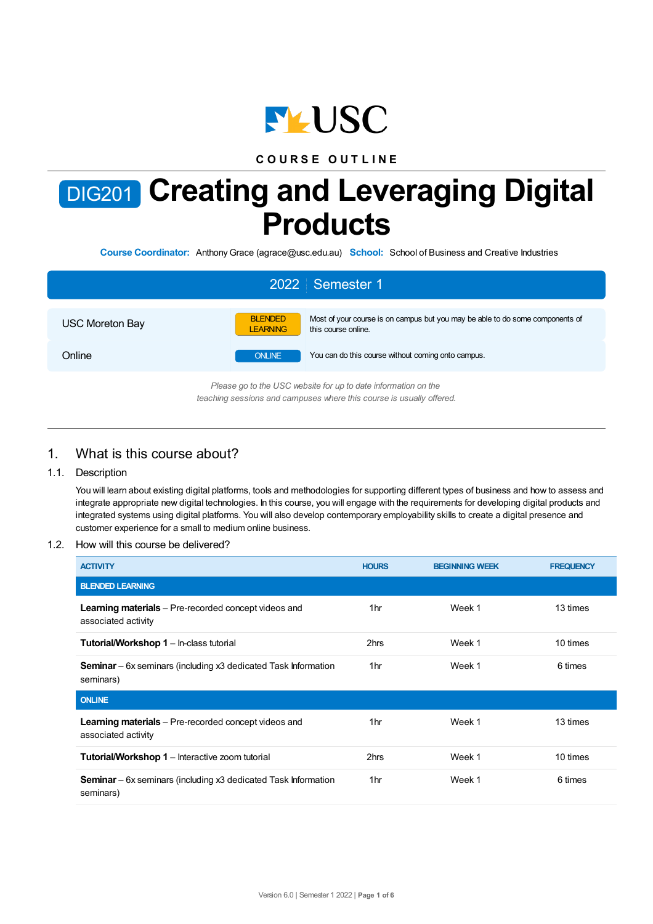

# **C O U R S E O U T L I N E**

# DIG201 **Creating and Leveraging Digital Products**

**Course Coordinator:** AnthonyGrace (agrace@usc.edu.au) **School:** School of Business and Creative Industries

|                        | 2022 Semester 1                                                                                                                           |
|------------------------|-------------------------------------------------------------------------------------------------------------------------------------------|
| <b>USC Moreton Bay</b> | <b>BLENDED</b><br>Most of your course is on campus but you may be able to do some components of<br><b>LEARNING</b><br>this course online. |
| Online                 | You can do this course without coming onto campus.<br><b>ONLINE</b>                                                                       |
|                        | Please go to the USC website for up to date information on the<br>teaching sessions and campuses where this course is usually offered.    |

# 1. What is this course about?

### 1.1. Description

You will learn about existing digital platforms, tools and methodologies for supporting different types of business and how to assess and integrate appropriate new digital technologies. In this course, you will engage with the requirements for developing digital products and integrated systems using digital platforms. You will also develop contemporary employability skills to create a digital presence and customer experience for a small to medium online business.

### 1.2. How will this course be delivered?

| <b>ACTIVITY</b>                                                                    | <b>HOURS</b> | <b>BEGINNING WEEK</b> | <b>FREQUENCY</b> |
|------------------------------------------------------------------------------------|--------------|-----------------------|------------------|
| <b>BLENDED LEARNING</b>                                                            |              |                       |                  |
| <b>Learning materials</b> – Pre-recorded concept videos and<br>associated activity | 1hr          | Week 1                | 13 times         |
| <b>Tutorial/Workshop 1 - In-class tutorial</b>                                     | 2hrs         | Week 1                | 10 times         |
| <b>Seminar</b> – 6x seminars (including x3 dedicated Task Information<br>seminars) | 1hr          | Week 1                | 6 times          |
| <b>ONLINE</b>                                                                      |              |                       |                  |
| <b>Learning materials</b> – Pre-recorded concept videos and<br>associated activity | 1hr          | Week 1                | 13 times         |
| <b>Tutorial/Workshop 1</b> – Interactive zoom tutorial                             | 2hrs         | Week 1                | 10 times         |
| <b>Seminar</b> – 6x seminars (including x3 dedicated Task Information<br>seminars) | 1hr          | Week 1                | 6 times          |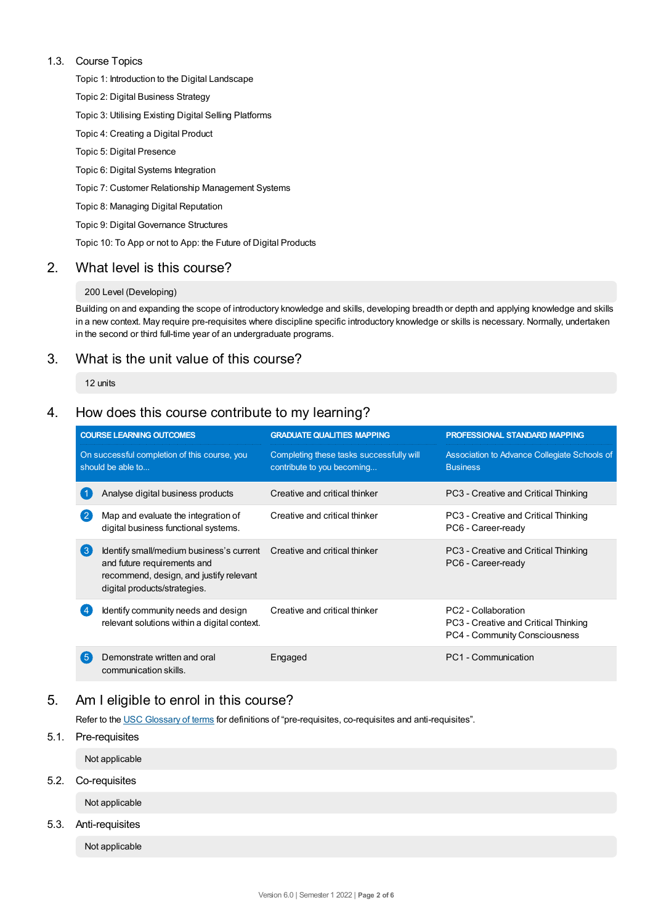### 1.3. Course Topics

Topic 1: Introduction to the Digital Landscape

Topic 2: Digital Business Strategy

- Topic 3: Utilising Existing Digital Selling Platforms
- Topic 4: Creating a Digital Product
- Topic 5: Digital Presence
- Topic 6: Digital Systems Integration
- Topic 7: Customer Relationship Management Systems
- Topic 8: Managing Digital Reputation
- Topic 9: Digital Governance Structures

Topic 10: To App or not to App: the Future of Digital Products

## 2. What level is this course?

### 200 Level (Developing)

Building on and expanding the scope of introductory knowledge and skills, developing breadth or depth and applying knowledge and skills in a new context. May require pre-requisites where discipline specific introductory knowledge or skills is necessary. Normally, undertaken in the second or third full-time year of an undergraduate programs.

# 3. What is the unit value of this course?

12 units

# 4. How does this course contribute to my learning?

|                                                                   | <b>COURSE LEARNING OUTCOMES</b>                                                                                                                                                  | <b>GRADUATE QUALITIES MAPPING</b>                                      | <b>PROFESSIONAL STANDARD MAPPING</b>                                                         |  |
|-------------------------------------------------------------------|----------------------------------------------------------------------------------------------------------------------------------------------------------------------------------|------------------------------------------------------------------------|----------------------------------------------------------------------------------------------|--|
| On successful completion of this course, you<br>should be able to |                                                                                                                                                                                  | Completing these tasks successfully will<br>contribute to you becoming | Association to Advance Collegiate Schools of<br><b>Business</b>                              |  |
|                                                                   | Analyse digital business products                                                                                                                                                | Creative and critical thinker                                          | PC3 - Creative and Critical Thinking                                                         |  |
| $\overline{2}$                                                    | Map and evaluate the integration of<br>digital business functional systems.                                                                                                      | Creative and critical thinker                                          | PC3 - Creative and Critical Thinking<br>PC6 - Career-ready                                   |  |
| $\left(3\right)$                                                  | Identify small/medium business's current Creative and critical thinker<br>and future requirements and<br>recommend, design, and justify relevant<br>digital products/strategies. |                                                                        | PC3 - Creative and Critical Thinking<br>PC6 - Career-ready                                   |  |
|                                                                   | Identify community needs and design<br>relevant solutions within a digital context.                                                                                              | Creative and critical thinker                                          | PC2 - Collaboration<br>PC3 - Creative and Critical Thinking<br>PC4 - Community Consciousness |  |
| 5                                                                 | Demonstrate written and oral<br>communication skills.                                                                                                                            | Engaged                                                                | PC1 - Communication                                                                          |  |

# 5. Am Ieligible to enrol in this course?

Refer to the USC [Glossary](https://www.usc.edu.au/about/policies-and-procedures/glossary-of-terms-for-policy-and-procedures) of terms for definitions of "pre-requisites, co-requisites and anti-requisites".

5.1. Pre-requisites

Not applicable

5.2. Co-requisites

Not applicable

### 5.3. Anti-requisites

Not applicable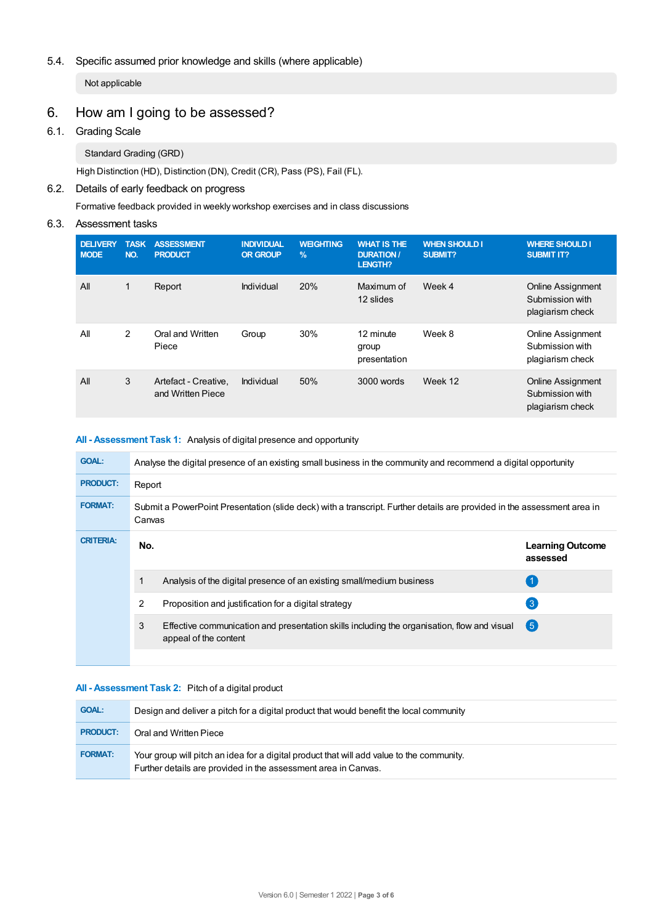### 5.4. Specific assumed prior knowledge and skills (where applicable)

Not applicable

# 6. How am Igoing to be assessed?

### 6.1. Grading Scale

Standard Grading (GRD)

High Distinction (HD), Distinction (DN), Credit (CR), Pass (PS), Fail (FL).

### 6.2. Details of early feedback on progress

Formative feedback provided in weekly workshop exercises and in class discussions

# 6.3. Assessment tasks

| <b>DELIVERY</b><br><b>MODE</b> | <b>TASK</b><br>NO. | <b>ASSESSMENT</b><br><b>PRODUCT</b>       | <b>INDIVIDUAL</b><br><b>OR GROUP</b> | <b>WEIGHTING</b><br>$\frac{9}{6}$ | <b>WHAT IS THE</b><br><b>DURATION /</b><br><b>LENGTH?</b> | <b>WHEN SHOULD I</b><br><b>SUBMIT?</b> | <b>WHERE SHOULD I</b><br><b>SUBMIT IT?</b>                      |
|--------------------------------|--------------------|-------------------------------------------|--------------------------------------|-----------------------------------|-----------------------------------------------------------|----------------------------------------|-----------------------------------------------------------------|
| All                            | 1                  | Report                                    | Individual                           | 20%                               | Maximum of<br>12 slides                                   | Week 4                                 | <b>Online Assignment</b><br>Submission with<br>plagiarism check |
| All                            | 2                  | Oral and Written<br>Piece                 | Group                                | 30%                               | 12 minute<br>group<br>presentation                        | Week 8                                 | Online Assignment<br>Submission with<br>plagiarism check        |
| All                            | 3                  | Artefact - Creative,<br>and Written Piece | Individual                           | 50%                               | 3000 words                                                | Week 12                                | <b>Online Assignment</b><br>Submission with<br>plagiarism check |

### **All - Assessment Task 1:** Analysis of digital presence and opportunity

| <b>GOAL:</b>     |        | Analyse the digital presence of an existing small business in the community and recommend a digital opportunity         |                                     |
|------------------|--------|-------------------------------------------------------------------------------------------------------------------------|-------------------------------------|
| <b>PRODUCT:</b>  | Report |                                                                                                                         |                                     |
| <b>FORMAT:</b>   | Canvas | Submit a PowerPoint Presentation (slide deck) with a transcript. Further details are provided in the assessment area in |                                     |
| <b>CRITERIA:</b> | No.    |                                                                                                                         | <b>Learning Outcome</b><br>assessed |
|                  |        | Analysis of the digital presence of an existing small/medium business                                                   |                                     |
|                  | 2      | Proposition and justification for a digital strategy                                                                    | $\mathbf{3}$                        |
|                  | 3      | Effective communication and presentation skills including the organisation, flow and visual<br>appeal of the content    | 6                                   |
|                  |        |                                                                                                                         |                                     |

### **All - Assessment Task 2:** Pitch of a digital product

| <b>GOAL:</b>    | Design and deliver a pitch for a digital product that would benefit the local community                                                                     |
|-----------------|-------------------------------------------------------------------------------------------------------------------------------------------------------------|
| <b>PRODUCT:</b> | Oral and Written Piece                                                                                                                                      |
| <b>FORMAT:</b>  | Your group will pitch an idea for a digital product that will add value to the community.<br>Further details are provided in the assessment area in Canvas. |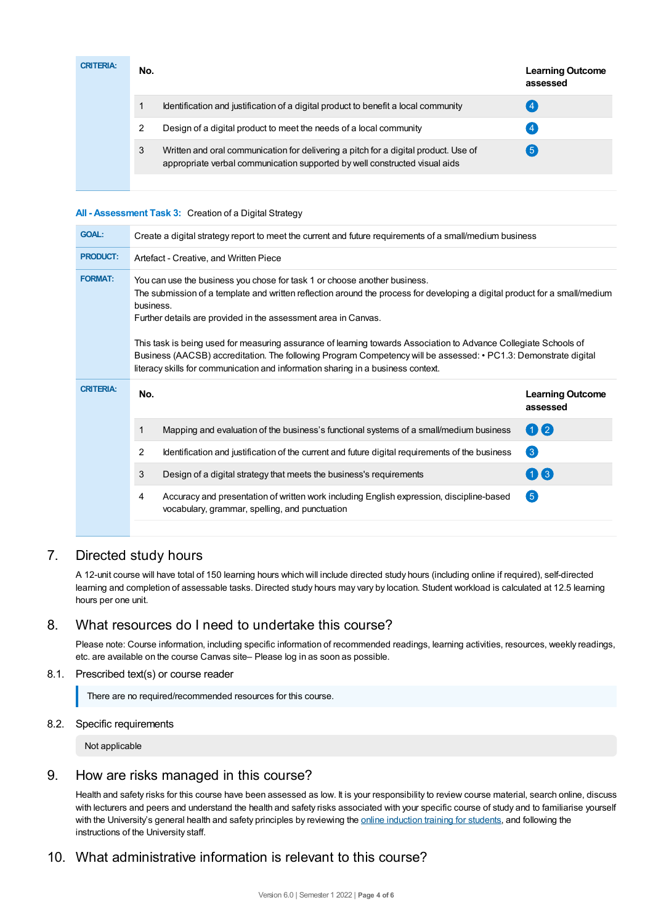| <b>CRITERIA:</b> | No. |                                                                                                                                                                   | <b>Learning Outcome</b><br>assessed |
|------------------|-----|-------------------------------------------------------------------------------------------------------------------------------------------------------------------|-------------------------------------|
|                  |     | Identification and justification of a digital product to benefit a local community                                                                                |                                     |
|                  | 2   | Design of a digital product to meet the needs of a local community                                                                                                |                                     |
|                  | 3   | Written and oral communication for delivering a pitch for a digital product. Use of<br>appropriate verbal communication supported by well constructed visual aids | $5^{\circ}$                         |
|                  |     |                                                                                                                                                                   |                                     |

### **All - Assessment Task 3:** Creation of a Digital Strategy

| <b>GOAL:</b>     | Create a digital strategy report to meet the current and future requirements of a small/medium business                                                                                                                                                                                                                                                                                                                                                                                                                                                                                                           |                                     |
|------------------|-------------------------------------------------------------------------------------------------------------------------------------------------------------------------------------------------------------------------------------------------------------------------------------------------------------------------------------------------------------------------------------------------------------------------------------------------------------------------------------------------------------------------------------------------------------------------------------------------------------------|-------------------------------------|
| <b>PRODUCT:</b>  | Artefact - Creative, and Written Piece                                                                                                                                                                                                                                                                                                                                                                                                                                                                                                                                                                            |                                     |
| <b>FORMAT:</b>   | You can use the business you chose for task 1 or choose another business.<br>The submission of a template and written reflection around the process for developing a digital product for a small/medium<br>business.<br>Further details are provided in the assessment area in Canvas.<br>This task is being used for measuring assurance of learning towards Association to Advance Collegiate Schools of<br>Business (AACSB) accreditation. The following Program Competency will be assessed: • PC1.3: Demonstrate digital<br>literacy skills for communication and information sharing in a business context. |                                     |
|                  |                                                                                                                                                                                                                                                                                                                                                                                                                                                                                                                                                                                                                   |                                     |
| <b>CRITERIA:</b> | No.                                                                                                                                                                                                                                                                                                                                                                                                                                                                                                                                                                                                               | <b>Learning Outcome</b><br>assessed |
|                  | Mapping and evaluation of the business's functional systems of a small/medium business<br>1                                                                                                                                                                                                                                                                                                                                                                                                                                                                                                                       | 02                                  |
|                  | 2<br>Identification and justification of the current and future digital requirements of the business                                                                                                                                                                                                                                                                                                                                                                                                                                                                                                              | $\left( 3\right)$                   |
|                  | 3<br>Design of a digital strategy that meets the business's requirements                                                                                                                                                                                                                                                                                                                                                                                                                                                                                                                                          | 03                                  |
|                  | Accuracy and presentation of written work including English expression, discipline-based<br>4<br>vocabulary, grammar, spelling, and punctuation                                                                                                                                                                                                                                                                                                                                                                                                                                                                   | 6                                   |

# 7. Directed study hours

A 12-unit course will have total of 150 learning hours which will include directed study hours (including online if required), self-directed learning and completion of assessable tasks. Directed study hours may vary by location. Student workload is calculated at 12.5 learning hours per one unit.

# 8. What resources do I need to undertake this course?

Please note: Course information, including specific information of recommended readings, learning activities, resources, weekly readings, etc. are available on the course Canvas site– Please log in as soon as possible.

### 8.1. Prescribed text(s) or course reader

There are no required/recommended resources for this course.

### 8.2. Specific requirements

Not applicable

### 9. How are risks managed in this course?

Health and safety risks for this course have been assessed as low. It is your responsibility to review course material, search online, discuss with lecturers and peers and understand the health and safety risks associated with your specific course of study and to familiarise yourself with the University's general health and safety principles by reviewing the online [induction](https://online.usc.edu.au/webapps/blackboard/content/listContentEditable.jsp?content_id=_632657_1&course_id=_14432_1) training for students, and following the instructions of the University staff.

# 10. What administrative information is relevant to this course?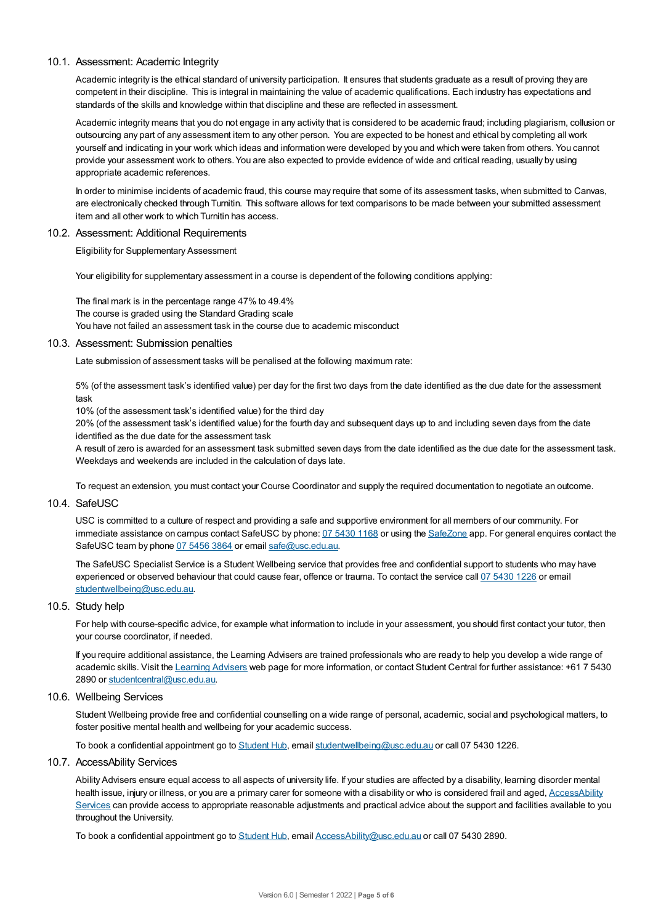### 10.1. Assessment: Academic Integrity

Academic integrity is the ethical standard of university participation. It ensures that students graduate as a result of proving they are competent in their discipline. This is integral in maintaining the value of academic qualifications. Each industry has expectations and standards of the skills and knowledge within that discipline and these are reflected in assessment.

Academic integrity means that you do not engage in any activity that is considered to be academic fraud; including plagiarism, collusion or outsourcing any part of any assessment item to any other person. You are expected to be honest and ethical by completing all work yourself and indicating in your work which ideas and information were developed by you and which were taken from others. You cannot provide your assessment work to others.You are also expected to provide evidence of wide and critical reading, usually by using appropriate academic references.

In order to minimise incidents of academic fraud, this course may require that some of its assessment tasks, when submitted to Canvas, are electronically checked through Turnitin. This software allows for text comparisons to be made between your submitted assessment item and all other work to which Turnitin has access.

### 10.2. Assessment: Additional Requirements

Eligibility for Supplementary Assessment

Your eligibility for supplementary assessment in a course is dependent of the following conditions applying:

The final mark is in the percentage range 47% to 49.4% The course is graded using the Standard Grading scale You have not failed an assessment task in the course due to academic misconduct

#### 10.3. Assessment: Submission penalties

Late submission of assessment tasks will be penalised at the following maximum rate:

5% (of the assessment task's identified value) per day for the first two days from the date identified as the due date for the assessment task

10% (of the assessment task's identified value) for the third day

20% (of the assessment task's identified value) for the fourth day and subsequent days up to and including seven days from the date identified as the due date for the assessment task

A result of zero is awarded for an assessment task submitted seven days from the date identified as the due date for the assessment task. Weekdays and weekends are included in the calculation of days late.

To request an extension, you must contact your Course Coordinator and supply the required documentation to negotiate an outcome.

### 10.4. SafeUSC

USC is committed to a culture of respect and providing a safe and supportive environment for all members of our community. For immediate assistance on campus contact SafeUSC by phone: 07 [5430](tel:07%205430%201168) 1168 or using the [SafeZone](https://www.safezoneapp.com) app. For general enquires contact the SafeUSC team by phone 07 [5456](tel:07%205456%203864) 3864 or email [safe@usc.edu.au](mailto:safe@usc.edu.au).

The SafeUSC Specialist Service is a Student Wellbeing service that provides free and confidential support to students who may have experienced or observed behaviour that could cause fear, offence or trauma. To contact the service call 07 [5430](tel:07%205430%201226) 1226 or email [studentwellbeing@usc.edu.au](mailto:studentwellbeing@usc.edu.au).

### 10.5. Study help

For help with course-specific advice, for example what information to include in your assessment, you should first contact your tutor, then your course coordinator, if needed.

If you require additional assistance, the Learning Advisers are trained professionals who are ready to help you develop a wide range of academic skills. Visit the Learning [Advisers](https://www.usc.edu.au/current-students/student-support/academic-and-study-support/learning-advisers) web page for more information, or contact Student Central for further assistance: +61 7 5430 2890 or [studentcentral@usc.edu.au](mailto:studentcentral@usc.edu.au).

### 10.6. Wellbeing Services

Student Wellbeing provide free and confidential counselling on a wide range of personal, academic, social and psychological matters, to foster positive mental health and wellbeing for your academic success.

To book a confidential appointment go to [Student](https://studenthub.usc.edu.au/) Hub, email [studentwellbeing@usc.edu.au](mailto:studentwellbeing@usc.edu.au) or call 07 5430 1226.

### 10.7. AccessAbility Services

Ability Advisers ensure equal access to all aspects of university life. If your studies are affected by a disability, learning disorder mental health issue, injury or illness, or you are a primary carer for someone with a disability or who is considered frail and aged, [AccessAbility](https://www.usc.edu.au/learn/student-support/accessability-services/documentation-requirements) Services can provide access to appropriate reasonable adjustments and practical advice about the support and facilities available to you throughout the University.

To book a confidential appointment go to [Student](https://studenthub.usc.edu.au/) Hub, email [AccessAbility@usc.edu.au](mailto:AccessAbility@usc.edu.au) or call 07 5430 2890.